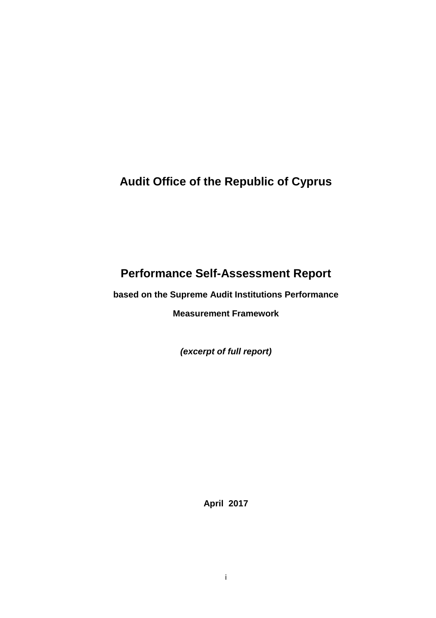## **Audit Office of the Republic of Cyprus**

# **Performance Self-Assessment Report**

**based on the Supreme Audit Institutions Performance**

**Measurement Framework**

*(excerpt of full report)*

**April 2017**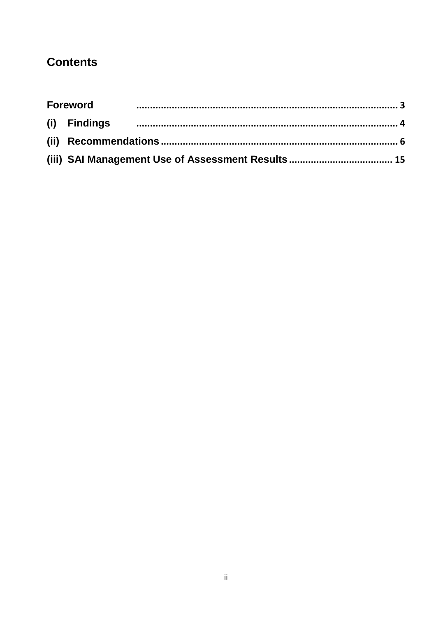## **Contents**

| <b>Foreword</b> |  |  |
|-----------------|--|--|
|                 |  |  |
|                 |  |  |
|                 |  |  |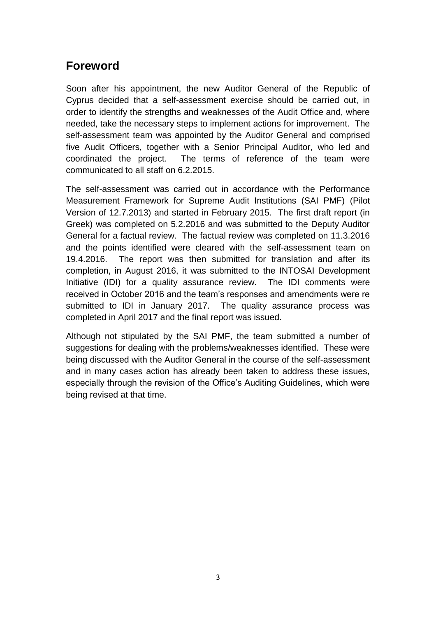## <span id="page-2-0"></span>**Foreword**

Soon after his appointment, the new Auditor General of the Republic of Cyprus decided that a self-assessment exercise should be carried out, in order to identify the strengths and weaknesses of the Audit Office and, where needed, take the necessary steps to implement actions for improvement. The self-assessment team was appointed by the Auditor General and comprised five Audit Officers, together with a Senior Principal Auditor, who led and coordinated the project. The terms of reference of the team were communicated to all staff on 6.2.2015.

The self-assessment was carried out in accordance with the Performance Measurement Framework for Supreme Audit Institutions (SAI PMF) (Pilot Version of 12.7.2013) and started in February 2015. The first draft report (in Greek) was completed on 5.2.2016 and was submitted to the Deputy Auditor General for a factual review. The factual review was completed on 11.3.2016 and the points identified were cleared with the self-assessment team on 19.4.2016. The report was then submitted for translation and after its completion, in August 2016, it was submitted to the INTOSAI Development Initiative (IDI) for a quality assurance review. The IDI comments were received in October 2016 and the team's responses and amendments were re submitted to IDI in January 2017. The quality assurance process was completed in April 2017 and the final report was issued.

Although not stipulated by the SAI PMF, the team submitted a number of suggestions for dealing with the problems/weaknesses identified. These were being discussed with the Auditor General in the course of the self-assessment and in many cases action has already been taken to address these issues, especially through the revision of the Office's Auditing Guidelines, which were being revised at that time.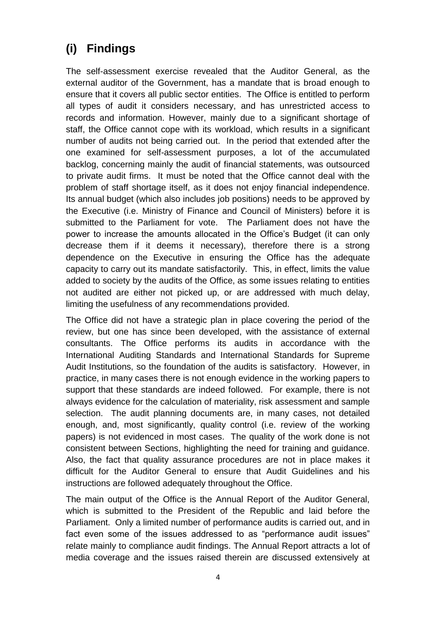# <span id="page-3-0"></span>**(i) Findings**

The self-assessment exercise revealed that the Auditor General, as the external auditor of the Government, has a mandate that is broad enough to ensure that it covers all public sector entities. The Office is entitled to perform all types of audit it considers necessary, and has unrestricted access to records and information. However, mainly due to a significant shortage of staff, the Office cannot cope with its workload, which results in a significant number of audits not being carried out. In the period that extended after the one examined for self-assessment purposes, a lot of the accumulated backlog, concerning mainly the audit of financial statements, was outsourced to private audit firms. It must be noted that the Office cannot deal with the problem of staff shortage itself, as it does not enjoy financial independence. Its annual budget (which also includes job positions) needs to be approved by the Executive (i.e. Ministry of Finance and Council of Ministers) before it is submitted to the Parliament for vote. The Parliament does not have the power to increase the amounts allocated in the Office's Budget (it can only decrease them if it deems it necessary), therefore there is a strong dependence on the Executive in ensuring the Office has the adequate capacity to carry out its mandate satisfactorily. This, in effect, limits the value added to society by the audits of the Office, as some issues relating to entities not audited are either not picked up, or are addressed with much delay, limiting the usefulness of any recommendations provided.

The Office did not have a strategic plan in place covering the period of the review, but one has since been developed, with the assistance of external consultants. The Office performs its audits in accordance with the International Auditing Standards and International Standards for Supreme Audit Institutions, so the foundation of the audits is satisfactory. However, in practice, in many cases there is not enough evidence in the working papers to support that these standards are indeed followed. For example, there is not always evidence for the calculation of materiality, risk assessment and sample selection. The audit planning documents are, in many cases, not detailed enough, and, most significantly, quality control (i.e. review of the working papers) is not evidenced in most cases. The quality of the work done is not consistent between Sections, highlighting the need for training and guidance. Also, the fact that quality assurance procedures are not in place makes it difficult for the Auditor General to ensure that Audit Guidelines and his instructions are followed adequately throughout the Office.

The main output of the Office is the Annual Report of the Auditor General, which is submitted to the President of the Republic and laid before the Parliament. Only a limited number of performance audits is carried out, and in fact even some of the issues addressed to as "performance audit issues" relate mainly to compliance audit findings. The Annual Report attracts a lot of media coverage and the issues raised therein are discussed extensively at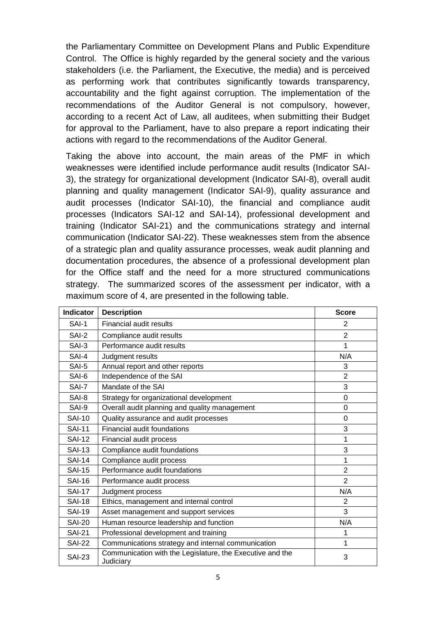the Parliamentary Committee on Development Plans and Public Expenditure Control. The Office is highly regarded by the general society and the various stakeholders (i.e. the Parliament, the Executive, the media) and is perceived as performing work that contributes significantly towards transparency, accountability and the fight against corruption. The implementation of the recommendations of the Auditor General is not compulsory, however, according to a recent Act of Law, all auditees, when submitting their Budget for approval to the Parliament, have to also prepare a report indicating their actions with regard to the recommendations of the Auditor General.

Taking the above into account, the main areas of the PMF in which weaknesses were identified include performance audit results (Indicator SAI-3), the strategy for organizational development (Indicator SAI-8), overall audit planning and quality management (Indicator SAI-9), quality assurance and audit processes (Indicator SAI-10), the financial and compliance audit processes (Indicators SAI-12 and SAI-14), professional development and training (Indicator SAI-21) and the communications strategy and internal communication (Indicator SAI-22). These weaknesses stem from the absence of a strategic plan and quality assurance processes, weak audit planning and documentation procedures, the absence of a professional development plan for the Office staff and the need for a more structured communications strategy. The summarized scores of the assessment per indicator, with a maximum score of 4, are presented in the following table.

| <b>Indicator</b> | <b>Description</b>                                                     | <b>Score</b>   |
|------------------|------------------------------------------------------------------------|----------------|
| SAI-1            | <b>Financial audit results</b>                                         | 2              |
| SAI-2            | Compliance audit results                                               | $\overline{2}$ |
| SAI-3            | Performance audit results                                              | 1              |
| SAI-4            | Judgment results                                                       | N/A            |
| SAI-5            | Annual report and other reports                                        | 3              |
| SAI-6            | Independence of the SAI                                                | $\overline{2}$ |
| SAI-7            | Mandate of the SAI                                                     | 3              |
| SAI-8            | Strategy for organizational development                                | $\Omega$       |
| SAI-9            | Overall audit planning and quality management                          | $\Omega$       |
| <b>SAI-10</b>    | Quality assurance and audit processes                                  | 0              |
| <b>SAI-11</b>    | Financial audit foundations                                            | 3              |
| <b>SAI-12</b>    | Financial audit process                                                | 1              |
| <b>SAI-13</b>    | Compliance audit foundations                                           | 3              |
| <b>SAI-14</b>    | Compliance audit process                                               | 1              |
| <b>SAI-15</b>    | Performance audit foundations                                          | $\overline{2}$ |
| <b>SAI-16</b>    | Performance audit process                                              | $\overline{2}$ |
| <b>SAI-17</b>    | Judgment process                                                       | N/A            |
| <b>SAI-18</b>    | Ethics, management and internal control                                | $\overline{2}$ |
| <b>SAI-19</b>    | Asset management and support services                                  | 3              |
| <b>SAI-20</b>    | Human resource leadership and function                                 | N/A            |
| <b>SAI-21</b>    | Professional development and training                                  | 1              |
| <b>SAI-22</b>    | Communications strategy and internal communication                     | 1              |
| <b>SAI-23</b>    | Communication with the Legislature, the Executive and the<br>Judiciary | 3              |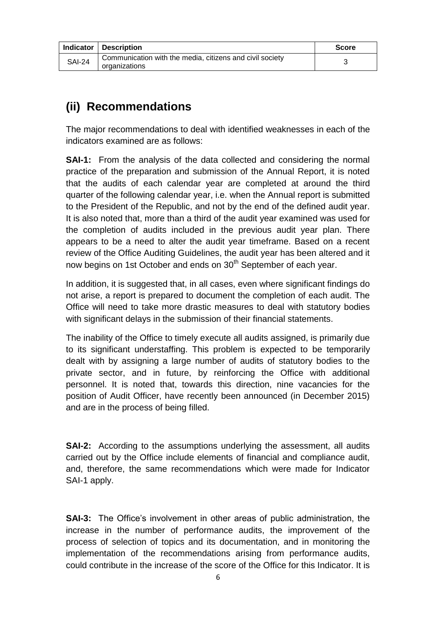|               | Indicator   Description                                                   | <b>Score</b> |
|---------------|---------------------------------------------------------------------------|--------------|
| <b>SAI-24</b> | Communication with the media, citizens and civil society<br>organizations |              |

## <span id="page-5-0"></span>**(ii) Recommendations**

The major recommendations to deal with identified weaknesses in each of the indicators examined are as follows:

**SAI-1:** From the analysis of the data collected and considering the normal practice of the preparation and submission of the Annual Report, it is noted that the audits of each calendar year are completed at around the third quarter of the following calendar year, i.e. when the Annual report is submitted to the President of the Republic, and not by the end of the defined audit year. It is also noted that, more than a third of the audit year examined was used for the completion of audits included in the previous audit year plan. There appears to be a need to alter the audit year timeframe. Based on a recent review of the Office Auditing Guidelines, the audit year has been altered and it now begins on 1st October and ends on 30<sup>th</sup> September of each year.

In addition, it is suggested that, in all cases, even where significant findings do not arise, a report is prepared to document the completion of each audit. The Office will need to take more drastic measures to deal with statutory bodies with significant delays in the submission of their financial statements.

The inability of the Office to timely execute all audits assigned, is primarily due to its significant understaffing. This problem is expected to be temporarily dealt with by assigning a large number of audits of statutory bodies to the private sector, and in future, by reinforcing the Office with additional personnel. It is noted that, towards this direction, nine vacancies for the position of Audit Officer, have recently been announced (in December 2015) and are in the process of being filled.

**SAI-2:** According to the assumptions underlying the assessment, all audits carried out by the Office include elements of financial and compliance audit, and, therefore, the same recommendations which were made for Indicator SAI-1 apply.

**SAI-3:** The Office's involvement in other areas of public administration, the increase in the number of performance audits, the improvement of the process of selection of topics and its documentation, and in monitoring the implementation of the recommendations arising from performance audits, could contribute in the increase of the score of the Office for this Indicator. It is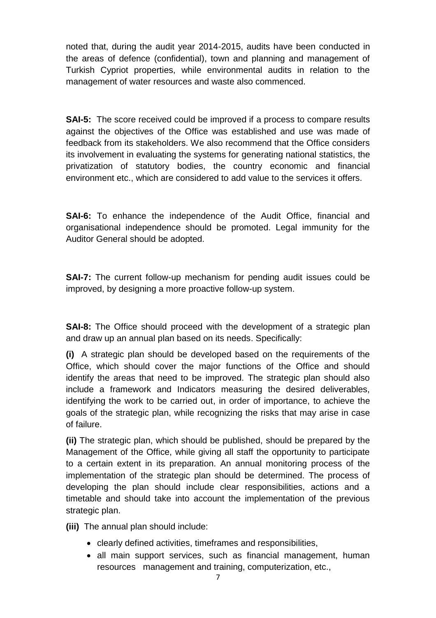noted that, during the audit year 2014-2015, audits have been conducted in the areas of defence (confidential), town and planning and management of Turkish Cypriot properties, while environmental audits in relation to the management of water resources and waste also commenced.

**SAI-5:** The score received could be improved if a process to compare results against the objectives of the Office was established and use was made of feedback from its stakeholders. We also recommend that the Office considers its involvement in evaluating the systems for generating national statistics, the privatization of statutory bodies, the country economic and financial environment etc., which are considered to add value to the services it offers.

**SAI-6:** To enhance the independence of the Audit Office, financial and organisational independence should be promoted. Legal immunity for the Auditor General should be adopted.

**SAI-7:** The current follow-up mechanism for pending audit issues could be improved, by designing a more proactive follow-up system.

**SAI-8:** The Office should proceed with the development of a strategic plan and draw up an annual plan based on its needs. Specifically:

**(i)** A strategic plan should be developed based on the requirements of the Office, which should cover the major functions of the Office and should identify the areas that need to be improved. The strategic plan should also include a framework and Indicators measuring the desired deliverables, identifying the work to be carried out, in order of importance, to achieve the goals of the strategic plan, while recognizing the risks that may arise in case of failure.

**(ii)** The strategic plan, which should be published, should be prepared by the Management of the Office, while giving all staff the opportunity to participate to a certain extent in its preparation. An annual monitoring process of the implementation of the strategic plan should be determined. The process of developing the plan should include clear responsibilities, actions and a timetable and should take into account the implementation of the previous strategic plan.

**(iii)** The annual plan should include:

- clearly defined activities, timeframes and responsibilities,
- all main support services, such as financial management, human resources management and training, computerization, etc.,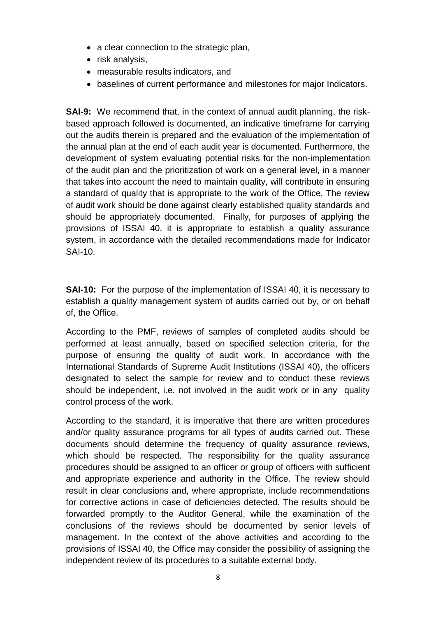- a clear connection to the strategic plan,
- risk analysis,
- measurable results indicators, and
- baselines of current performance and milestones for major Indicators.

**SAI-9:** We recommend that, in the context of annual audit planning, the riskbased approach followed is documented, an indicative timeframe for carrying out the audits therein is prepared and the evaluation of the implementation of the annual plan at the end of each audit year is documented. Furthermore, the development of system evaluating potential risks for the non-implementation of the audit plan and the prioritization of work on a general level, in a manner that takes into account the need to maintain quality, will contribute in ensuring a standard of quality that is appropriate to the work of the Office. The review of audit work should be done against clearly established quality standards and should be appropriately documented. Finally, for purposes of applying the provisions of ISSAI 40, it is appropriate to establish a quality assurance system, in accordance with the detailed recommendations made for Indicator SAI-10.

**SAI-10:** For the purpose of the implementation of ISSAI 40, it is necessary to establish a quality management system of audits carried out by, or on behalf of, the Office.

According to the PMF, reviews of samples of completed audits should be performed at least annually, based on specified selection criteria, for the purpose of ensuring the quality of audit work. In accordance with the International Standards of Supreme Audit Institutions (ISSAI 40), the officers designated to select the sample for review and to conduct these reviews should be independent, i.e. not involved in the audit work or in any quality control process of the work.

According to the standard, it is imperative that there are written procedures and/or quality assurance programs for all types of audits carried out. These documents should determine the frequency of quality assurance reviews, which should be respected. The responsibility for the quality assurance procedures should be assigned to an officer or group of officers with sufficient and appropriate experience and authority in the Office. The review should result in clear conclusions and, where appropriate, include recommendations for corrective actions in case of deficiencies detected. The results should be forwarded promptly to the Auditor General, while the examination of the conclusions of the reviews should be documented by senior levels of management. In the context of the above activities and according to the provisions of ISSAI 40, the Office may consider the possibility of assigning the independent review of its procedures to a suitable external body.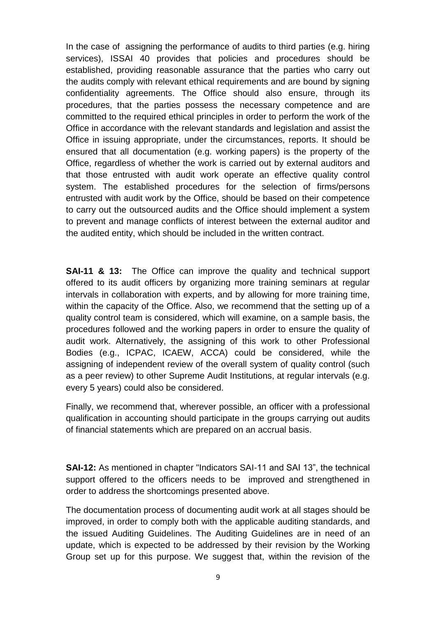In the case of assigning the performance of audits to third parties (e.g. hiring services), ISSAI 40 provides that policies and procedures should be established, providing reasonable assurance that the parties who carry out the audits comply with relevant ethical requirements and are bound by signing confidentiality agreements. The Office should also ensure, through its procedures, that the parties possess the necessary competence and are committed to the required ethical principles in order to perform the work of the Office in accordance with the relevant standards and legislation and assist the Office in issuing appropriate, under the circumstances, reports. It should be ensured that all documentation (e.g. working papers) is the property of the Office, regardless of whether the work is carried out by external auditors and that those entrusted with audit work operate an effective quality control system. The established procedures for the selection of firms/persons entrusted with audit work by the Office, should be based on their competence to carry out the outsourced audits and the Office should implement a system to prevent and manage conflicts of interest between the external auditor and the audited entity, which should be included in the written contract.

**SAI-11 & 13:** The Office can improve the quality and technical support offered to its audit officers by organizing more training seminars at regular intervals in collaboration with experts, and by allowing for more training time, within the capacity of the Office. Also, we recommend that the setting up of a quality control team is considered, which will examine, on a sample basis, the procedures followed and the working papers in order to ensure the quality of audit work. Alternatively, the assigning of this work to other Professional Bodies (e.g., ICPAC, ICAEW, ACCA) could be considered, while the assigning of independent review of the overall system of quality control (such as a peer review) to other Supreme Audit Institutions, at regular intervals (e.g. every 5 years) could also be considered.

Finally, we recommend that, wherever possible, an officer with a professional qualification in accounting should participate in the groups carrying out audits of financial statements which are prepared on an accrual basis.

**SAI-12:** As mentioned in chapter "Indicators SAI-11 and SAI 13", the technical support offered to the officers needs to be improved and strengthened in order to address the shortcomings presented above.

The documentation process of documenting audit work at all stages should be improved, in order to comply both with the applicable auditing standards, and the issued Auditing Guidelines. The Auditing Guidelines are in need of an update, which is expected to be addressed by their revision by the Working Group set up for this purpose. We suggest that, within the revision of the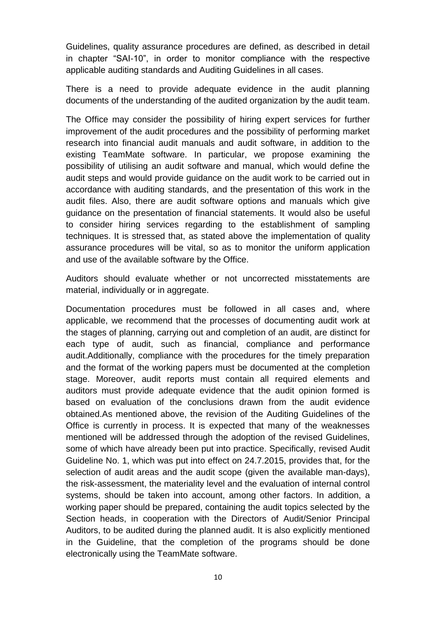Guidelines, quality assurance procedures are defined, as described in detail in chapter "SAI-10", in order to monitor compliance with the respective applicable auditing standards and Auditing Guidelines in all cases.

There is a need to provide adequate evidence in the audit planning documents of the understanding of the audited organization by the audit team.

The Office may consider the possibility of hiring expert services for further improvement of the audit procedures and the possibility of performing market research into financial audit manuals and audit software, in addition to the existing TeamMate software. In particular, we propose examining the possibility of utilising an audit software and manual, which would define the audit steps and would provide guidance on the audit work to be carried out in accordance with auditing standards, and the presentation of this work in the audit files. Also, there are audit software options and manuals which give guidance on the presentation of financial statements. It would also be useful to consider hiring services regarding to the establishment of sampling techniques. It is stressed that, as stated above the implementation of quality assurance procedures will be vital, so as to monitor the uniform application and use of the available software by the Office.

Auditors should evaluate whether or not uncorrected misstatements are material, individually or in aggregate.

Documentation procedures must be followed in all cases and, where applicable, we recommend that the processes of documenting audit work at the stages of planning, carrying out and completion of an audit, are distinct for each type of audit, such as financial, compliance and performance audit.Additionally, compliance with the procedures for the timely preparation and the format of the working papers must be documented at the completion stage. Moreover, audit reports must contain all required elements and auditors must provide adequate evidence that the audit opinion formed is based on evaluation of the conclusions drawn from the audit evidence obtained.As mentioned above, the revision of the Auditing Guidelines of the Office is currently in process. It is expected that many of the weaknesses mentioned will be addressed through the adoption of the revised Guidelines, some of which have already been put into practice. Specifically, revised Audit Guideline No. 1, which was put into effect on 24.7.2015, provides that, for the selection of audit areas and the audit scope (given the available man-days), the risk-assessment, the materiality level and the evaluation of internal control systems, should be taken into account, among other factors. In addition, a working paper should be prepared, containing the audit topics selected by the Section heads, in cooperation with the Directors of Audit/Senior Principal Auditors, to be audited during the planned audit. It is also explicitly mentioned in the Guideline, that the completion of the programs should be done electronically using the TeamMate software.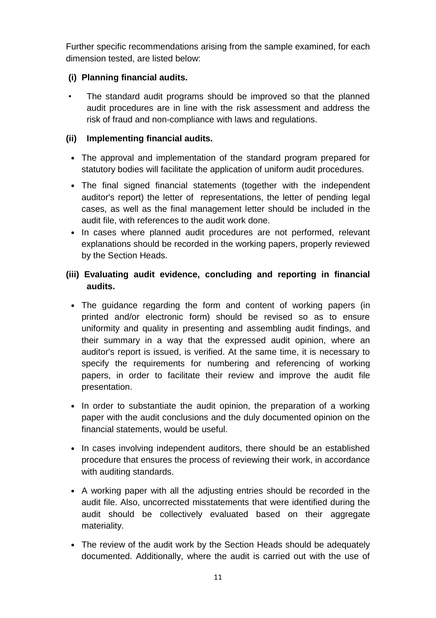Further specific recommendations arising from the sample examined, for each dimension tested, are listed below:

#### **(i) Planning financial audits.**

The standard audit programs should be improved so that the planned audit procedures are in line with the risk assessment and address the risk of fraud and non-compliance with laws and regulations.

#### **(ii) Implementing financial audits.**

- The approval and implementation of the standard program prepared for statutory bodies will facilitate the application of uniform audit procedures.
- The final signed financial statements (together with the independent auditor's report) the letter of representations, the letter of pending legal cases, as well as the final management letter should be included in the audit file, with references to the audit work done.
- In cases where planned audit procedures are not performed, relevant explanations should be recorded in the working papers, properly reviewed by the Section Heads.

#### **(iii) Evaluating audit evidence, concluding and reporting in financial audits.**

- The guidance regarding the form and content of working papers (in printed and/or electronic form) should be revised so as to ensure uniformity and quality in presenting and assembling audit findings, and their summary in a way that the expressed audit opinion, where an auditor's report is issued, is verified. At the same time, it is necessary to specify the requirements for numbering and referencing of working papers, in order to facilitate their review and improve the audit file presentation.
- In order to substantiate the audit opinion, the preparation of a working paper with the audit conclusions and the duly documented opinion on the financial statements, would be useful.
- In cases involving independent auditors, there should be an established procedure that ensures the process of reviewing their work, in accordance with auditing standards.
- A working paper with all the adjusting entries should be recorded in the audit file. Also, uncorrected misstatements that were identified during the audit should be collectively evaluated based on their aggregate materiality.
- The review of the audit work by the Section Heads should be adequately documented. Additionally, where the audit is carried out with the use of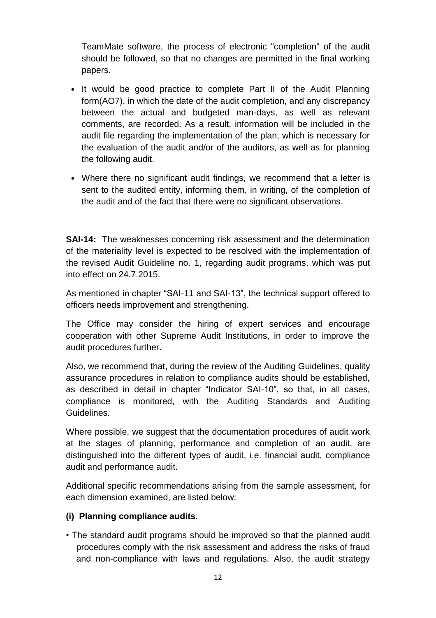TeamMate software, the process of electronic "completion" of the audit should be followed, so that no changes are permitted in the final working papers.

- It would be good practice to complete Part II of the Audit Planning form(AO7), in which the date of the audit completion, and any discrepancy between the actual and budgeted man-days, as well as relevant comments, are recorded. As a result, information will be included in the audit file regarding the implementation of the plan, which is necessary for the evaluation of the audit and/or of the auditors, as well as for planning the following audit.
- Where there no significant audit findings, we recommend that a letter is sent to the audited entity, informing them, in writing, of the completion of the audit and of the fact that there were no significant observations.

**SAI-14:** The weaknesses concerning risk assessment and the determination of the materiality level is expected to be resolved with the implementation of the revised Audit Guideline no. 1, regarding audit programs, which was put into effect on 24.7.2015.

As mentioned in chapter "SAI-11 and SAI-13", the technical support offered to officers needs improvement and strengthening.

The Office may consider the hiring of expert services and encourage cooperation with other Supreme Audit Institutions, in order to improve the audit procedures further.

Also, we recommend that, during the review of the Auditing Guidelines, quality assurance procedures in relation to compliance audits should be established, as described in detail in chapter "Indicator SAI-10", so that, in all cases, compliance is monitored, with the Auditing Standards and Auditing Guidelines.

Where possible, we suggest that the documentation procedures of audit work at the stages of planning, performance and completion of an audit, are distinguished into the different types of audit, i.e. financial audit, compliance audit and performance audit.

Additional specific recommendations arising from the sample assessment, for each dimension examined, are listed below:

#### **(i) Planning compliance audits.**

• The standard audit programs should be improved so that the planned audit procedures comply with the risk assessment and address the risks of fraud and non-compliance with laws and regulations. Also, the audit strategy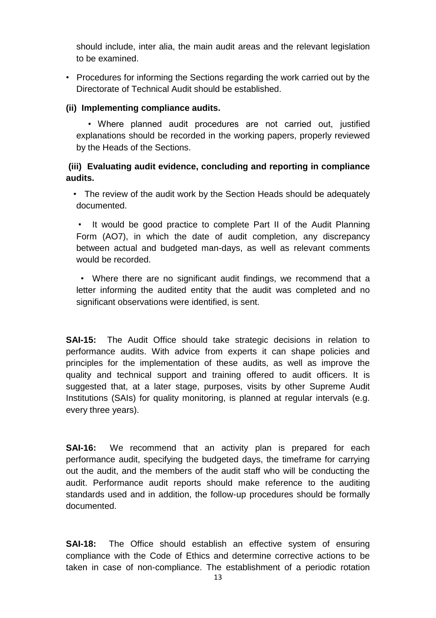should include, inter alia, the main audit areas and the relevant legislation to be examined.

• Procedures for informing the Sections regarding the work carried out by the Directorate of Technical Audit should be established.

#### **(ii) Implementing compliance audits.**

 • Where planned audit procedures are not carried out, justified explanations should be recorded in the working papers, properly reviewed by the Heads of the Sections.

#### **(iii) Evaluating audit evidence, concluding and reporting in compliance audits.**

• The review of the audit work by the Section Heads should be adequately documented.

It would be good practice to complete Part II of the Audit Planning Form (AO7), in which the date of audit completion, any discrepancy between actual and budgeted man-days, as well as relevant comments would be recorded.

 • Where there are no significant audit findings, we recommend that a letter informing the audited entity that the audit was completed and no significant observations were identified, is sent.

**SAI-15:** The Audit Office should take strategic decisions in relation to performance audits. With advice from experts it can shape policies and principles for the implementation of these audits, as well as improve the quality and technical support and training offered to audit officers. It is suggested that, at a later stage, purposes, visits by other Supreme Audit Institutions (SAIs) for quality monitoring, is planned at regular intervals (e.g. every three years).

**SAI-16:** We recommend that an activity plan is prepared for each performance audit, specifying the budgeted days, the timeframe for carrying out the audit, and the members of the audit staff who will be conducting the audit. Performance audit reports should make reference to the auditing standards used and in addition, the follow-up procedures should be formally documented.

**SAI-18:** The Office should establish an effective system of ensuring compliance with the Code of Ethics and determine corrective actions to be taken in case of non-compliance. The establishment of a periodic rotation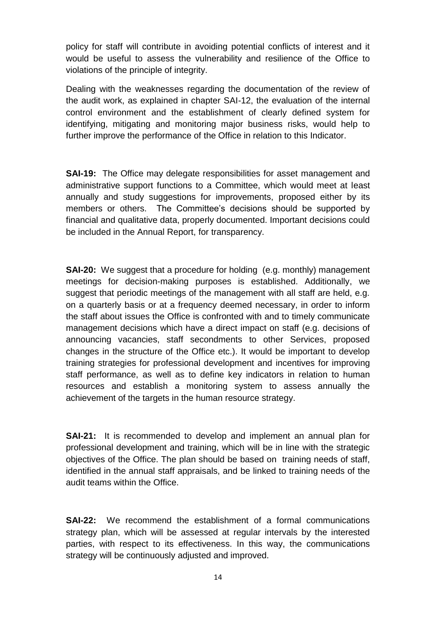policy for staff will contribute in avoiding potential conflicts of interest and it would be useful to assess the vulnerability and resilience of the Office to violations of the principle of integrity.

Dealing with the weaknesses regarding the documentation of the review of the audit work, as explained in chapter SAI-12, the evaluation of the internal control environment and the establishment of clearly defined system for identifying, mitigating and monitoring major business risks, would help to further improve the performance of the Office in relation to this Indicator.

**SAI-19:** The Office may delegate responsibilities for asset management and administrative support functions to a Committee, which would meet at least annually and study suggestions for improvements, proposed either by its members or others. The Committee's decisions should be supported by financial and qualitative data, properly documented. Important decisions could be included in the Annual Report, for transparency.

**SAI-20:** We suggest that a procedure for holding (e.g. monthly) management meetings for decision-making purposes is established. Additionally, we suggest that periodic meetings of the management with all staff are held, e.g. on a quarterly basis or at a frequency deemed necessary, in order to inform the staff about issues the Office is confronted with and to timely communicate management decisions which have a direct impact on staff (e.g. decisions of announcing vacancies, staff secondments to other Services, proposed changes in the structure of the Office etc.). It would be important to develop training strategies for professional development and incentives for improving staff performance, as well as to define key indicators in relation to human resources and establish a monitoring system to assess annually the achievement of the targets in the human resource strategy.

**SAI-21:** It is recommended to develop and implement an annual plan for professional development and training, which will be in line with the strategic objectives of the Office. The plan should be based on training needs of staff, identified in the annual staff appraisals, and be linked to training needs of the audit teams within the Office.

**SAI-22:** We recommend the establishment of a formal communications strategy plan, which will be assessed at regular intervals by the interested parties, with respect to its effectiveness. In this way, the communications strategy will be continuously adjusted and improved.